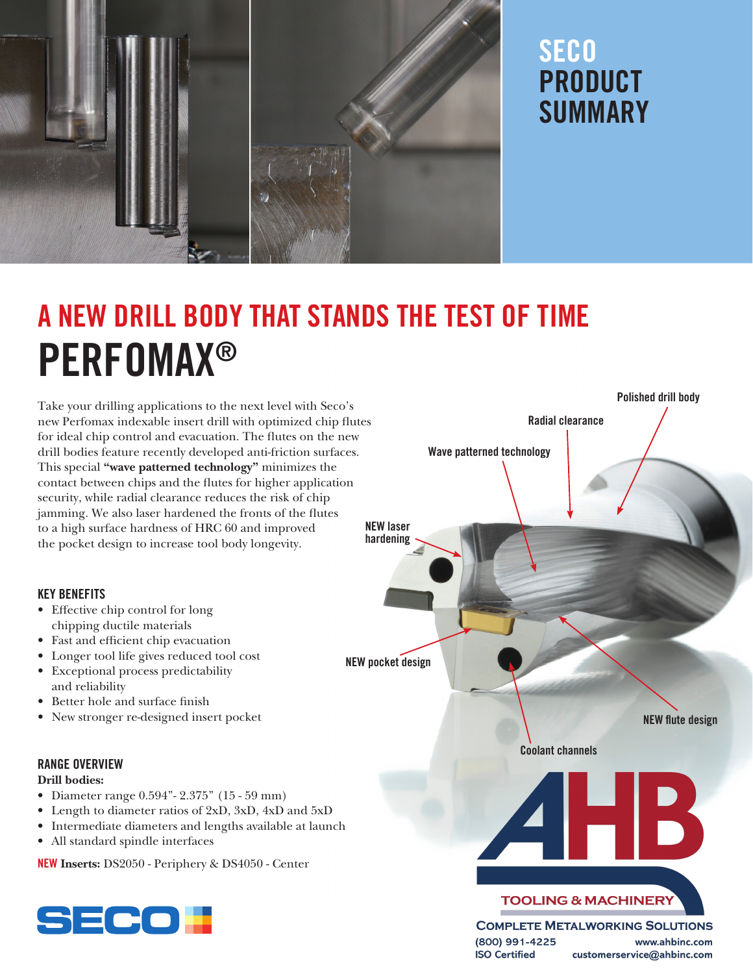

## **SECO** PRODUCT SUMMARY

# A NEW DRILL BODY THAT STANDS THE TEST OF TIME PERFOMAX®

Take your drilling applications to the next level with Seco's new Perfomax indexable insert drill with optimized chip lutes for ideal chip control and evacuation. The lutes on the new drill bodies feature recently developed anti-friction surfaces. This special "wave patterned technology" minimizes the contact between chips and the lutes for higher application security, while radial clearance reduces the risk of chip jamming. We also laser hardened the fronts of the flutes to a high surface hardness of HRC 60 and improved the pocket design to increase tool body longevity.

#### KEY BENEFITS

- Efective chip control for long chipping ductile materials
- Fast and efficient chip evacuation
- Longer tool life gives reduced tool cost
- Exceptional process predictability and reliability
- Better hole and surface finish
- New stronger re-designed insert pocket

#### RANGE OVERVIEW

#### Drill bodies:

- Diameter range 0.594"- 2.375" (15 59 mm)
- Length to diameter ratios of 2xD, 3xD, 4xD and 5xD
- Intermediate diameters and lengths available at launch
- All standard spindle interfaces

NEW Inserts: DS2050 - Periphery & DS4050 - Center





(800) 991-4225 www.ahbinc.com **ISO Certified** customerservice@ahbinc.com